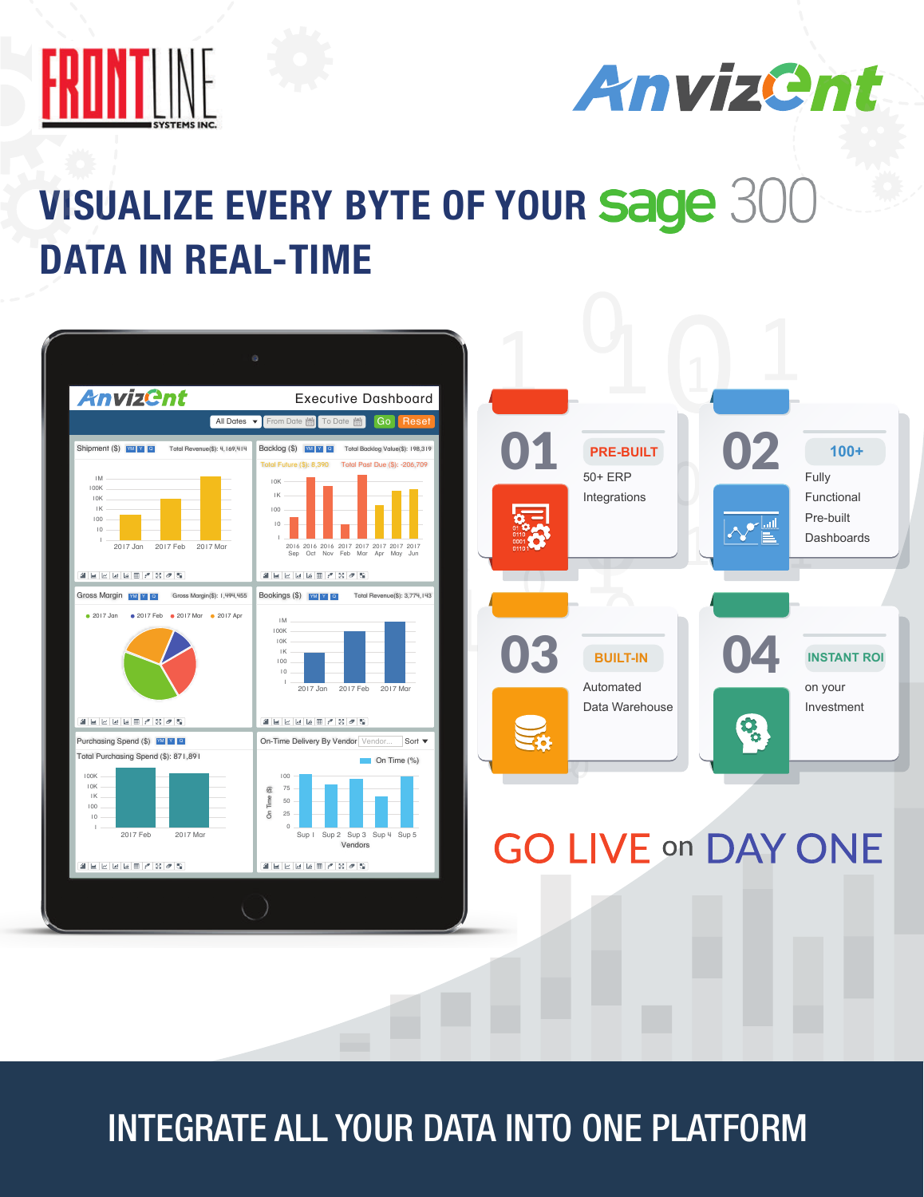



# **VISUALIZE EVERY BYTE OF YOUR DATA IN REAL-TIME**



## INTEGRATE ALL YOUR DATA INTO ONE PLATFORM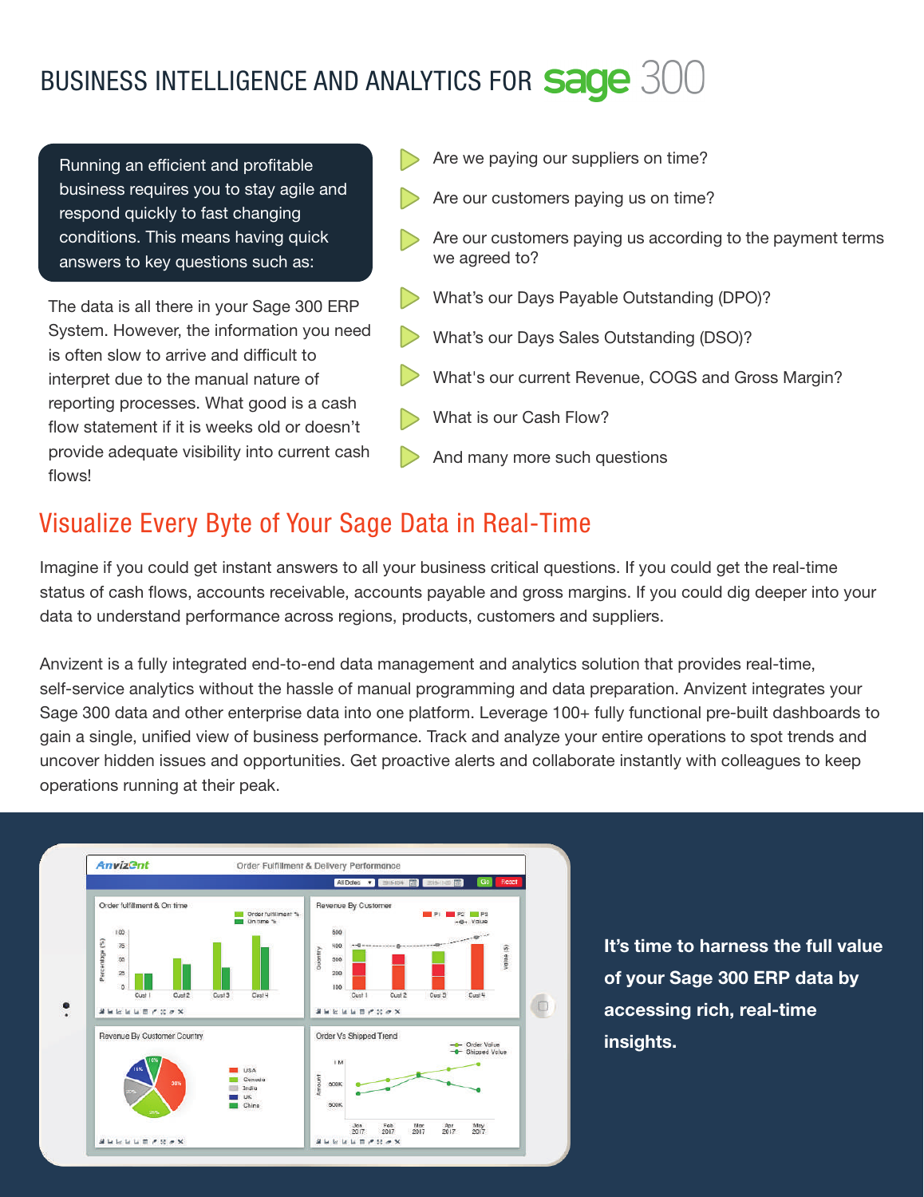## BUSINESS INTELLIGENCE AND ANALYTICS FOR **Sage** 300

Running an efficient and profitable business requires you to stay agile and respond quickly to fast changing conditions. This means having quick answers to key questions such as:

The data is all there in your Sage 300 ERP System. However, the information you need is often slow to arrive and difficult to interpret due to the manual nature of reporting processes. What good is a cash flow statement if it is weeks old or doesn't provide adequate visibility into current cash flows!

- Are we paying our suppliers on time?
- Are our customers paying us on time?
- Are our customers paying us according to the payment terms we agreed to?
- What's our Days Payable Outstanding (DPO)?
- What's our Days Sales Outstanding (DSO)?
- What's our current Revenue, COGS and Gross Margin?
- What is our Cash Flow?
	- And many more such questions

### Visualize Every Byte of Your Sage Data in Real-Time

Imagine if you could get instant answers to all your business critical questions. If you could get the real-time status of cash flows, accounts receivable, accounts payable and gross margins. If you could dig deeper into your data to understand performance across regions, products, customers and suppliers.

Anvizent is a fully integrated end-to-end data management and analytics solution that provides real-time, self-service analytics without the hassle of manual programming and data preparation. Anvizent integrates your Sage 300 data and other enterprise data into one platform. Leverage 100+ fully functional pre-built dashboards to gain a single, unified view of business performance. Track and analyze your entire operations to spot trends and uncover hidden issues and opportunities. Get proactive alerts and collaborate instantly with colleagues to keep operations running at their peak.



**It's time to harness the full value of your Sage 300 ERP data by accessing rich, real-time insights.**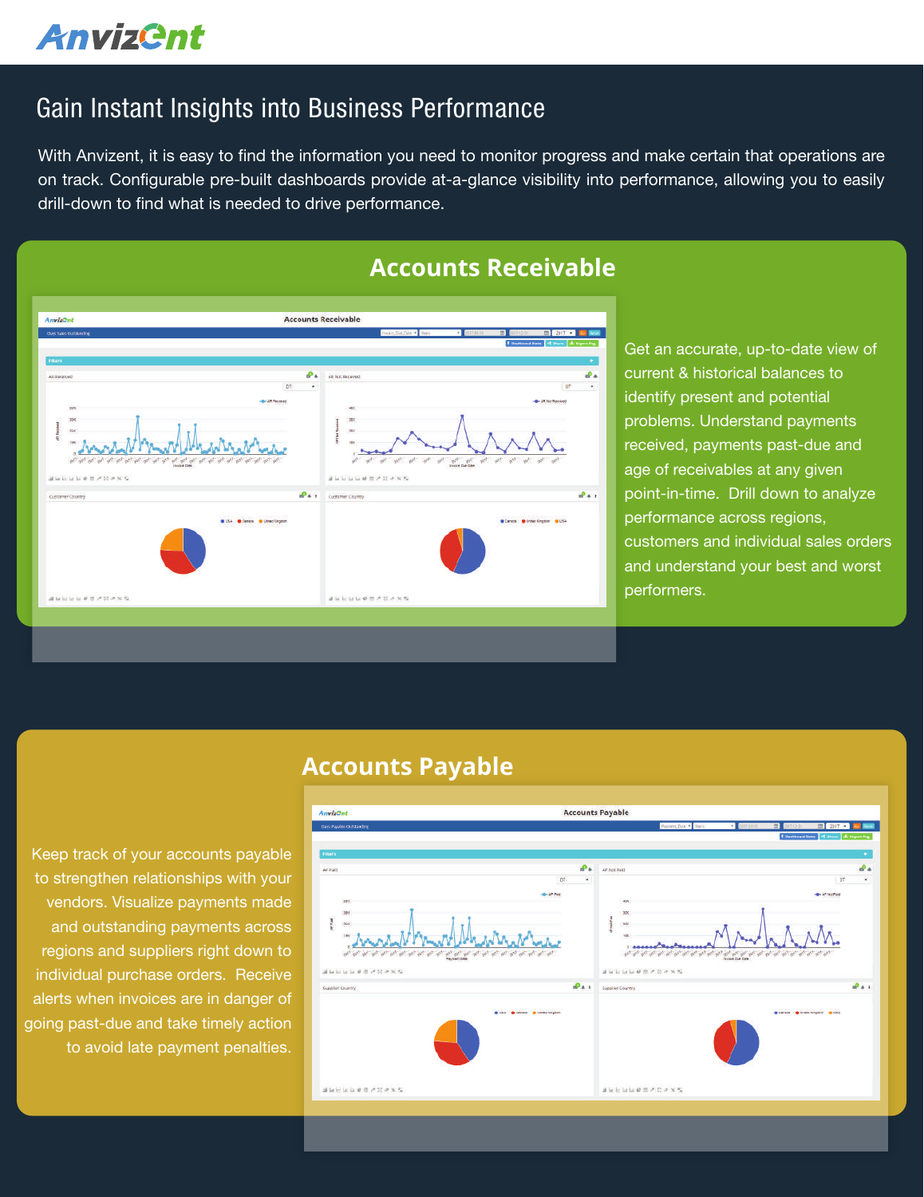

### Gain Instant Insights into Business Performance

With Anvizent, it is easy to find the information you need to monitor progress and make certain that operations are on track. Configurable pre-built dashboards provide at-a-glance visibility into performance, allowing you to easily drill-down to find what is needed to drive performance.



### **Accounts Receivable**

Get an accurate, up-to-date view of current & historical balances to identify present and potential problems. Understand payments received, payments past-due and age of receivables at any given point-in-time. Drill down to analyze performance across regions, customers and individual sales orders and understand your best and worst performers.

#### **Accounts Payable**

Keep track of your accounts payable to strengthen relationships with your vendors. Visualize payments made and outstanding payments across regions and suppliers right down to individual purchase orders. Receive alerts when invoices are in danger of going past-due and take timely action to avoid late payment penalties.

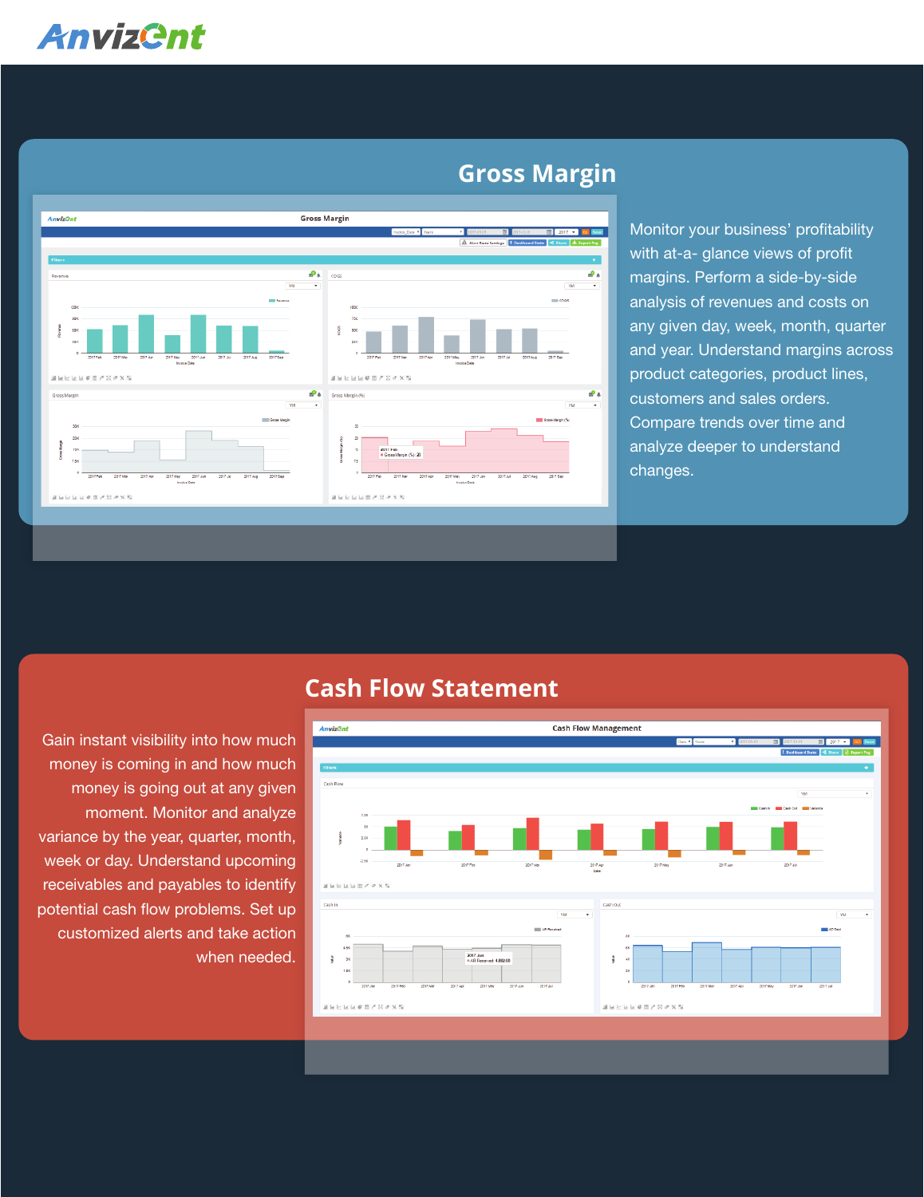

### **Gross Margin**



Monitor your business' profitability with at-a- glance views of profit margins. Perform a side-by-side analysis of revenues and costs on any given day, week, month, quarter and year. Understand margins across product categories, product lines, customers and sales orders. Compare trends over time and analyze deeper to understand changes.

#### **Cash Flow Statement**



Gain instant visibility into how much money is coming in and how much money is going out at any given moment. Monitor and analyze variance by the year, quarter, month, week or day. Understand upcoming receivables and payables to identify potential cash flow problems. Set up customized alerts and take action when needed.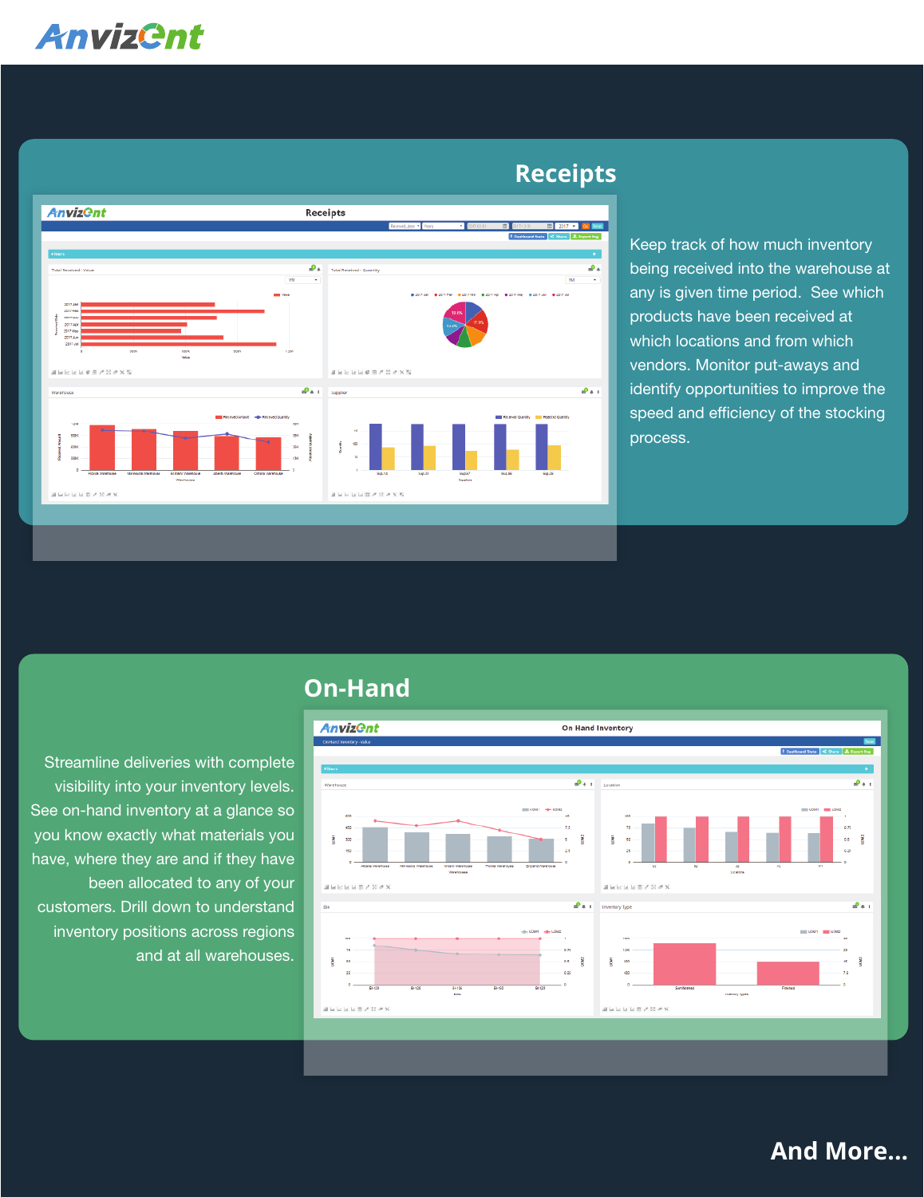

### **Receipts**



Keep track of how much inventory being received into the warehouse at any is given time period. See which products have been received at which locations and from which vendors. Monitor put-aways and identify opportunities to improve the speed and efficiency of the stocking process.

**On-Hand**



Streamline deliveries with complete visibility into your inventory levels. See on-hand inventory at a glance so you know exactly what materials you have, where they are and if they have been allocated to any of your customers. Drill down to understand inventory positions across regions and at all warehouses.

**And More...**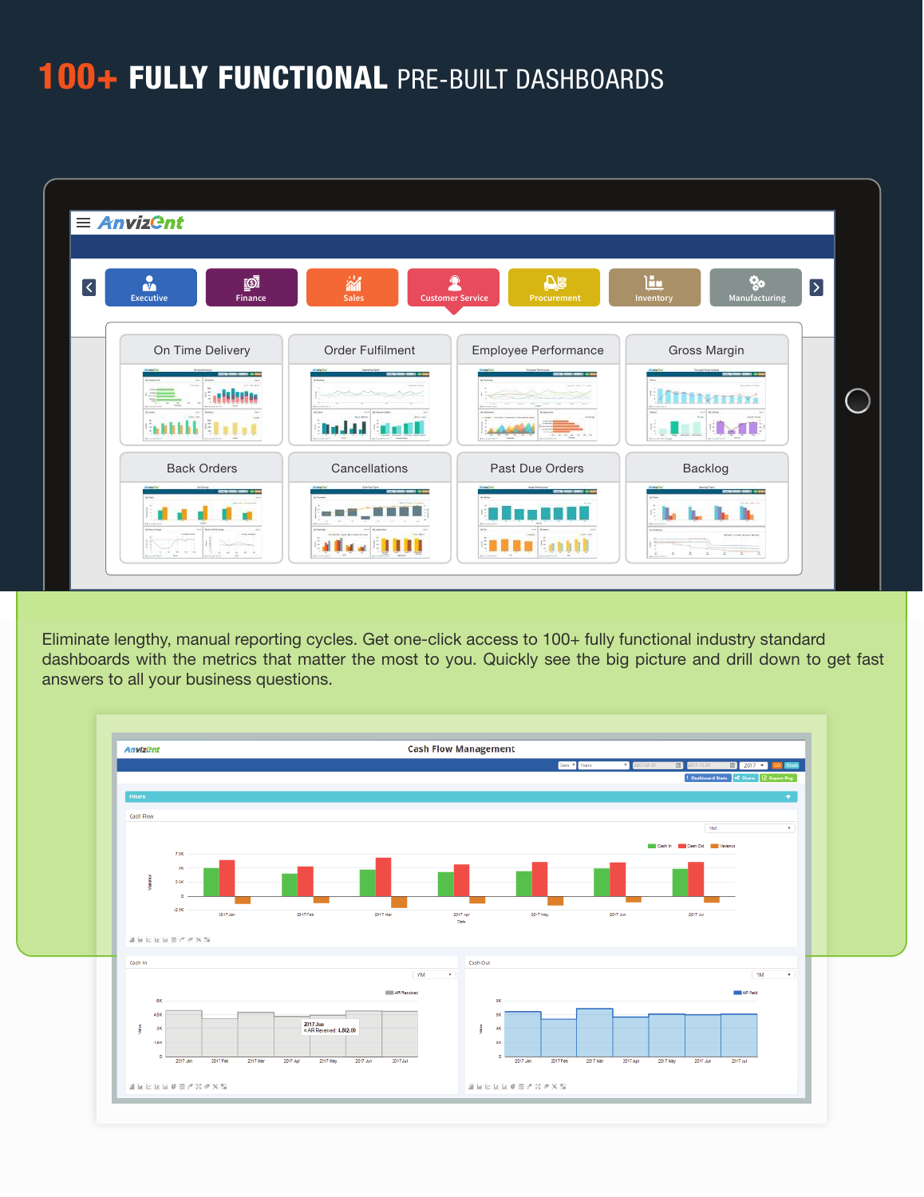## 100+ FULLY FUNCTIONAL PRE-BUILT DASHBOARDS

|                                          | $\equiv$ Anviz $\Theta$ nt                                         |                                |                                                                     |                                                 |         |
|------------------------------------------|--------------------------------------------------------------------|--------------------------------|---------------------------------------------------------------------|-------------------------------------------------|---------|
| $\overline{\left\langle \right\rangle }$ | $\overline{\mathbb{Q}}$<br>$\alpha$<br><b>Executive</b><br>Finance | 盜<br><b>Sales</b>              | $\frac{1}{2}$<br>C<br><b>Customer Service</b><br>Procurement        | <u>line</u><br>Ģ.<br>Manufacturing<br>Inventory | $\vert$ |
|                                          | On Time Delivery                                                   | Order Fulfilment<br>ده ارور رو | Employee Performance<br><b><i><u><u>ALLES COMPUTERS</u></u></i></b> | Gross Margin<br>M                               |         |
|                                          | <b>Back Orders</b>                                                 | Cancellations                  | Past Due Orders                                                     | Backlog                                         |         |

Eliminate lengthy, manual reporting cycles. Get one-click access to 100+ fully functional industry standard dashboards with the metrics that matter the most to you. Quickly see the big picture and drill down to get fast answers to all your business questions.

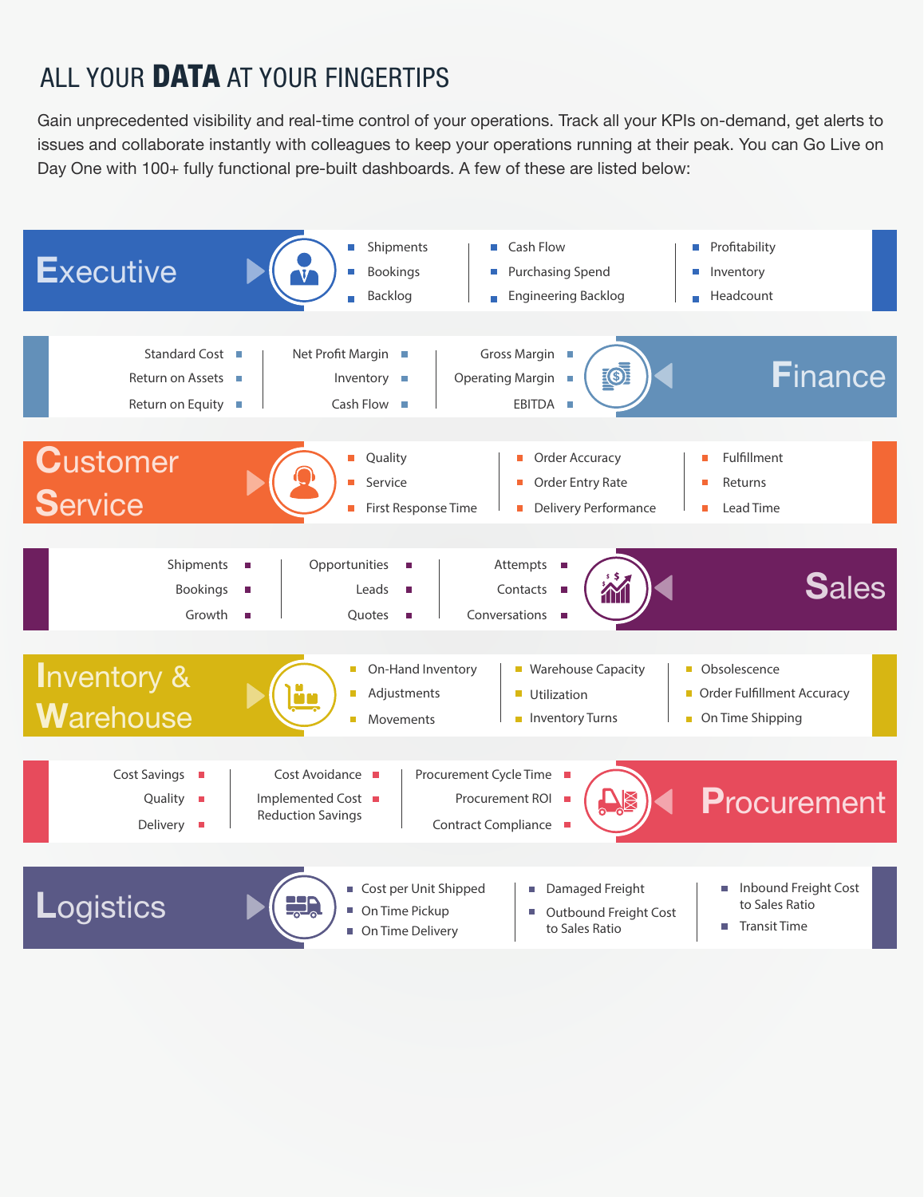## ALL YOUR DATA AT YOUR FINGERTIPS

Gain unprecedented visibility and real-time control of your operations. Track all your KPIs on-demand, get alerts to issues and collaborate instantly with colleagues to keep your operations running at their peak. You can Go Live on Day One with 100+ fully functional pre-built dashboards. A few of these are listed below:

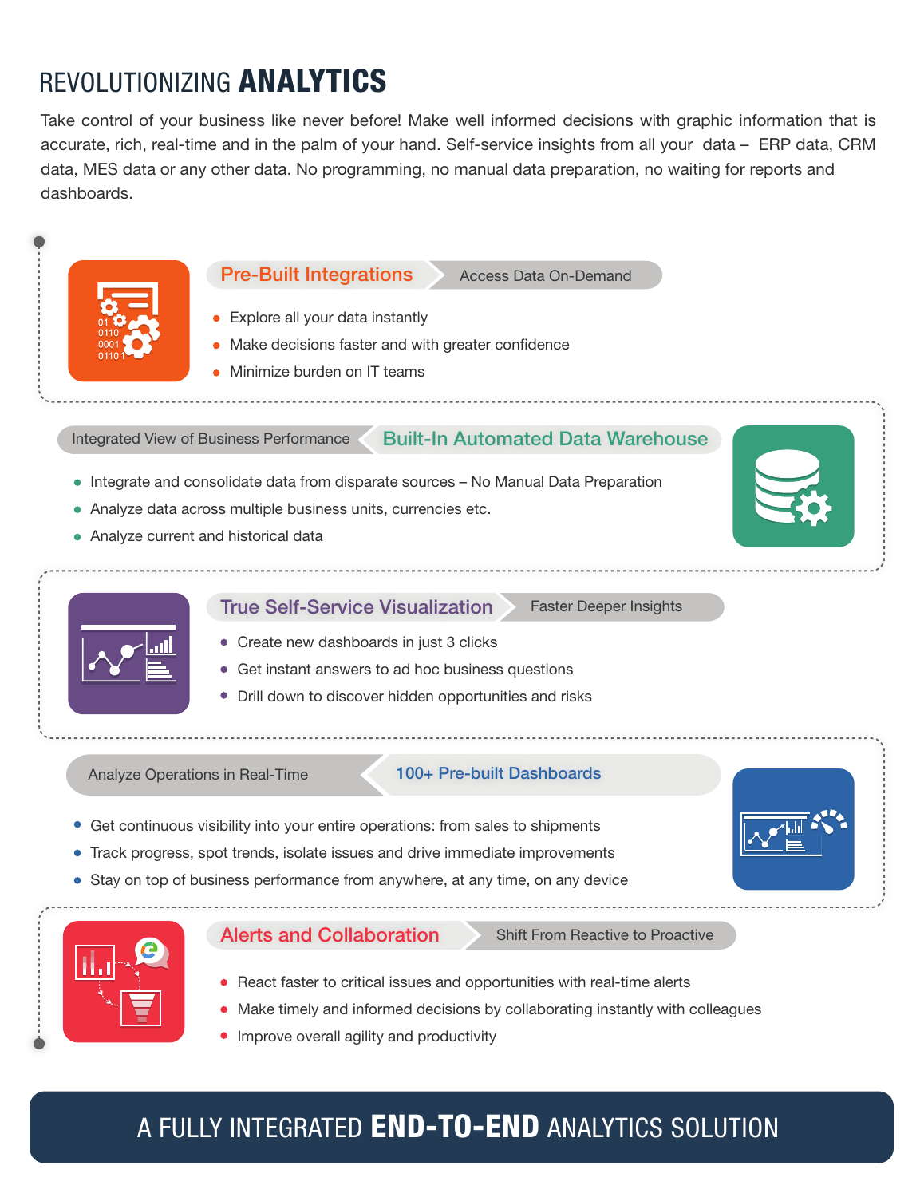## REVOLUTIONIZING ANALYTICS

Take control of your business like never before! Make well informed decisions with graphic information that is accurate, rich, real-time and in the palm of your hand. Self-service insights from all your data – ERP data, CRM data, MES data or any other data. No programming, no manual data preparation, no waiting for reports and dashboards.



Improve overall agility and productivity

## A FULLY INTEGRATED END-TO-END ANALYTICS SOLUTION